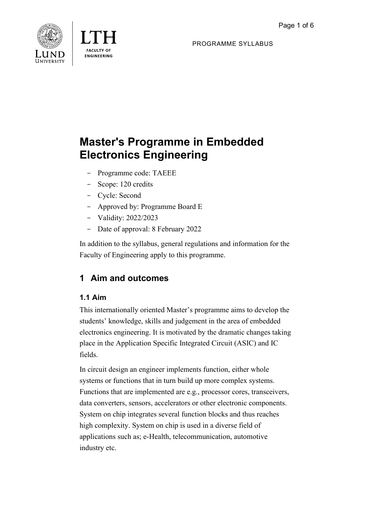

**FNGINFFRING** 

PROGRAMME SYLLABUS

# **Master's Programme in Embedded Electronics Engineering**

- Programme code: TAEEE
- Scope: 120 credits
- Cycle: Second
- Approved by: Programme Board E
- Validity: 2022/2023
- Date of approval: 8 February 2022

In addition to the syllabus, general regulations and information for the Faculty of Engineering apply to this programme.

# **1 Aim and outcomes**

# **1.1 Aim**

This internationally oriented Master's programme aims to develop the students' knowledge, skills and judgement in the area of embedded electronics engineering. It is motivated by the dramatic changes taking place in the Application Specific Integrated Circuit (ASIC) and IC fields.

In circuit design an engineer implements function, either whole systems or functions that in turn build up more complex systems. Functions that are implemented are e.g., processor cores, transceivers, data converters, sensors, accelerators or other electronic components. System on chip integrates several function blocks and thus reaches high complexity. System on chip is used in a diverse field of applications such as; e-Health, telecommunication, automotive industry etc.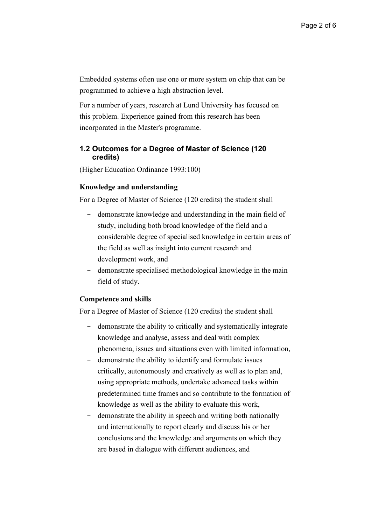Embedded systems often use one or more system on chip that can be programmed to achieve a high abstraction level.

For a number of years, research at Lund University has focused on this problem. Experience gained from this research has been incorporated in the Master's programme.

## **1.2 Outcomes for a Degree of Master of Science (120 credits)**

(Higher Education Ordinance 1993:100)

#### **Knowledge and understanding**

For a Degree of Master of Science (120 credits) the student shall

- demonstrate knowledge and understanding in the main field of study, including both broad knowledge of the field and a considerable degree of specialised knowledge in certain areas of the field as well as insight into current research and development work, and
- demonstrate specialised methodological knowledge in the main field of study.

#### **Competence and skills**

For a Degree of Master of Science (120 credits) the student shall

- demonstrate the ability to critically and systematically integrate knowledge and analyse, assess and deal with complex phenomena, issues and situations even with limited information,
- demonstrate the ability to identify and formulate issues critically, autonomously and creatively as well as to plan and, using appropriate methods, undertake advanced tasks within predetermined time frames and so contribute to the formation of knowledge as well as the ability to evaluate this work,
- demonstrate the ability in speech and writing both nationally and internationally to report clearly and discuss his or her conclusions and the knowledge and arguments on which they are based in dialogue with different audiences, and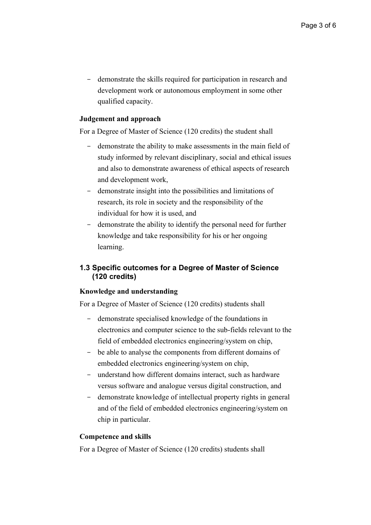- demonstrate the skills required for participation in research and development work or autonomous employment in some other qualified capacity.

## **Judgement and approach**

For a Degree of Master of Science (120 credits) the student shall

- demonstrate the ability to make assessments in the main field of study informed by relevant disciplinary, social and ethical issues and also to demonstrate awareness of ethical aspects of research and development work,
- demonstrate insight into the possibilities and limitations of research, its role in society and the responsibility of the individual for how it is used, and
- demonstrate the ability to identify the personal need for further knowledge and take responsibility for his or her ongoing learning.

# **1.3 Specific outcomes for a Degree of Master of Science (120 credits)**

## **Knowledge and understanding**

For a Degree of Master of Science (120 credits) students shall

- demonstrate specialised knowledge of the foundations in electronics and computer science to the sub-fields relevant to the field of embedded electronics engineering/system on chip,
- be able to analyse the components from different domains of embedded electronics engineering/system on chip,
- understand how different domains interact, such as hardware versus software and analogue versus digital construction, and
- demonstrate knowledge of intellectual property rights in general and of the field of embedded electronics engineering/system on chip in particular.

#### **Competence and skills**

For a Degree of Master of Science (120 credits) students shall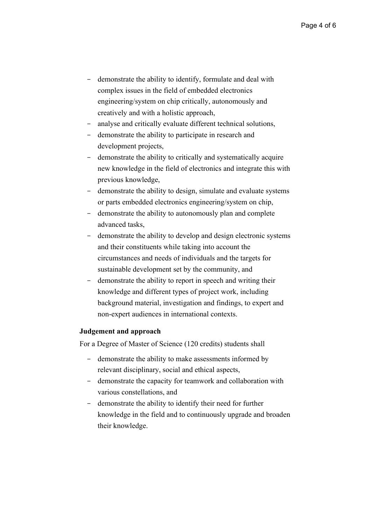- demonstrate the ability to identify, formulate and deal with complex issues in the field of embedded electronics engineering/system on chip critically, autonomously and creatively and with a holistic approach,
- analyse and critically evaluate different technical solutions,
- demonstrate the ability to participate in research and development projects,
- demonstrate the ability to critically and systematically acquire new knowledge in the field of electronics and integrate this with previous knowledge,
- demonstrate the ability to design, simulate and evaluate systems or parts embedded electronics engineering/system on chip,
- demonstrate the ability to autonomously plan and complete advanced tasks,
- demonstrate the ability to develop and design electronic systems and their constituents while taking into account the circumstances and needs of individuals and the targets for sustainable development set by the community, and
- demonstrate the ability to report in speech and writing their knowledge and different types of project work, including background material, investigation and findings, to expert and non-expert audiences in international contexts.

#### **Judgement and approach**

For a Degree of Master of Science (120 credits) students shall

- demonstrate the ability to make assessments informed by relevant disciplinary, social and ethical aspects,
- demonstrate the capacity for teamwork and collaboration with various constellations, and
- demonstrate the ability to identify their need for further knowledge in the field and to continuously upgrade and broaden their knowledge.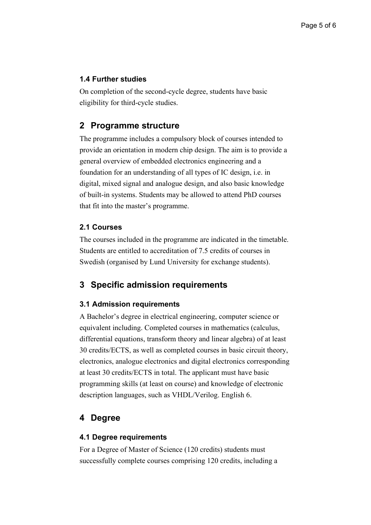# **1.4 Further studies**

On completion of the second-cycle degree, students have basic eligibility for third-cycle studies.

# **2 Programme structure**

The programme includes a compulsory block of courses intended to provide an orientation in modern chip design. The aim is to provide a general overview of embedded electronics engineering and a foundation for an understanding of all types of IC design, i.e. in digital, mixed signal and analogue design, and also basic knowledge of built-in systems. Students may be allowed to attend PhD courses that fit into the master's programme.

# **2.1 Courses**

The courses included in the programme are indicated in the timetable. Students are entitled to accreditation of 7.5 credits of courses in Swedish (organised by Lund University for exchange students).

# **3 Specific admission requirements**

## **3.1 Admission requirements**

A Bachelor's degree in electrical engineering, computer science or equivalent including. Completed courses in mathematics (calculus, differential equations, transform theory and linear algebra) of at least 30 credits/ECTS, as well as completed courses in basic circuit theory, electronics, analogue electronics and digital electronics corresponding at least 30 credits/ECTS in total. The applicant must have basic programming skills (at least on course) and knowledge of electronic description languages, such as VHDL/Verilog. English 6.

# **4 Degree**

## **4.1 Degree requirements**

For a Degree of Master of Science (120 credits) students must successfully complete courses comprising 120 credits, including a